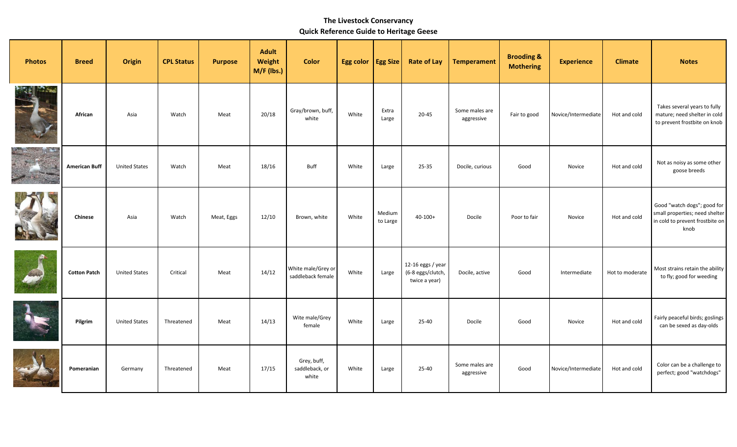## **The Livestock Conservancy Quick Reference Guide to Heritage Geese**

| <b>Photos</b>      | <b>Breed</b>         | <b>Origin</b>        | <b>CPL Status</b> | <b>Purpose</b> | <b>Adult</b><br>Weight<br>M/F (lbs.) | <b>Color</b>                            | Egg color   Egg Size |                    | <b>Rate of Lay</b>                                      | <b>Temperament</b>           | <b>Brooding &amp;</b><br><b>Mothering</b> | <b>Experience</b>   | <b>Climate</b>  | <b>Notes</b>                                                                                             |
|--------------------|----------------------|----------------------|-------------------|----------------|--------------------------------------|-----------------------------------------|----------------------|--------------------|---------------------------------------------------------|------------------------------|-------------------------------------------|---------------------|-----------------|----------------------------------------------------------------------------------------------------------|
| <b>Land Street</b> | African              | Asia                 | Watch             | Meat           | 20/18                                | Gray/brown, buff,<br>white              | White                | Extra<br>Large     | 20-45                                                   | Some males are<br>aggressive | Fair to good                              | Novice/Intermediate | Hot and cold    | Takes several years to fully<br>mature; need shelter in cold<br>to prevent frostbite on knob             |
|                    | <b>American Buff</b> | <b>United States</b> | Watch             | Meat           | 18/16                                | <b>Buff</b>                             | White                | Large              | 25-35                                                   | Docile, curious              | Good                                      | Novice              | Hot and cold    | Not as noisy as some other<br>goose breeds                                                               |
|                    | <b>Chinese</b>       | Asia                 | Watch             | Meat, Eggs     | 12/10                                | Brown, white                            | White                | Medium<br>to Large | $40 - 100 +$                                            | Docile                       | Poor to fair                              | Novice              | Hot and cold    | Good "watch dogs"; good for<br>small properties; need shelter<br>in cold to prevent frostbite on<br>knob |
| <b>GAN</b>         | <b>Cotton Patch</b>  | <b>United States</b> | Critical          | Meat           | 14/12                                | White male/Grey or<br>saddleback female | White                | Large              | 12-16 eggs / year<br>(6-8 eggs/clutch,<br>twice a year) | Docile, active               | Good                                      | Intermediate        | Hot to moderate | Most strains retain the ability<br>to fly; good for weeding                                              |
|                    | Pilgrim              | <b>United States</b> | Threatened        | Meat           | 14/13                                | Wite male/Grey<br>female                | White                | Large              | 25-40                                                   | Docile                       | Good                                      | Novice              | Hot and cold    | Fairly peaceful birds; goslings<br>can be sexed as day-olds                                              |
|                    | Pomeranian           | Germany              | Threatened        | Meat           | 17/15                                | Grey, buff,<br>saddleback, or<br>white  | White                | Large              | 25-40                                                   | Some males are<br>aggressive | Good                                      | Novice/Intermediate | Hot and cold    | Color can be a challenge to<br>perfect; good "watchdogs"                                                 |